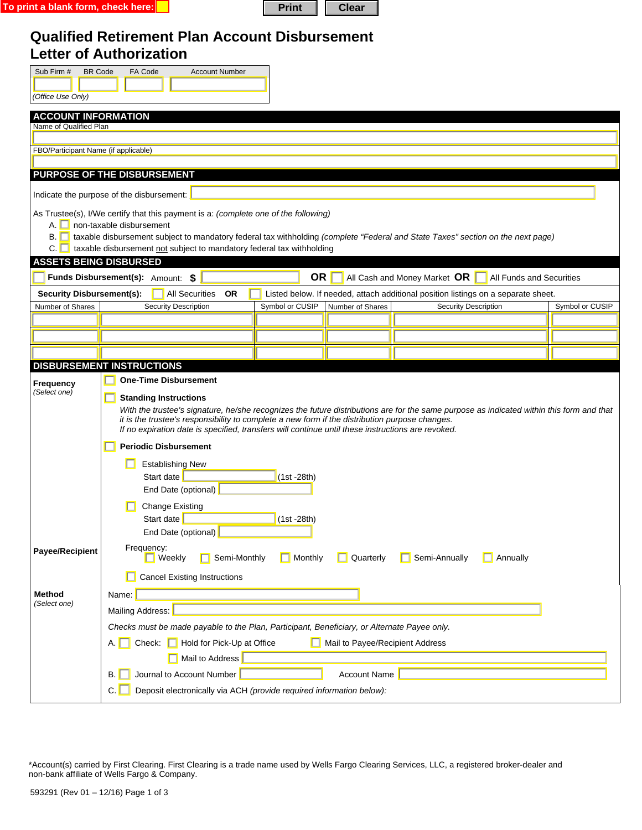| To print a blank form, check here: <mark>I</mark> | Print   Clear |  |  |
|---------------------------------------------------|---------------|--|--|
|---------------------------------------------------|---------------|--|--|

| л<br>г | والمتعارض |
|--------|-----------|

## **Qualified Retirement Plan Account Disbursement Letter of Authorization**

| Sub Firm #                                                                                  | <b>BR Code</b><br>FA Code<br><b>Account Number</b>                                                                                                                                                                    |                 |  |  |  |  |
|---------------------------------------------------------------------------------------------|-----------------------------------------------------------------------------------------------------------------------------------------------------------------------------------------------------------------------|-----------------|--|--|--|--|
|                                                                                             |                                                                                                                                                                                                                       |                 |  |  |  |  |
| (Office Use Only)                                                                           |                                                                                                                                                                                                                       |                 |  |  |  |  |
|                                                                                             | <b>ACCOUNT INFORMATION</b>                                                                                                                                                                                            |                 |  |  |  |  |
| Name of Qualified Plan                                                                      |                                                                                                                                                                                                                       |                 |  |  |  |  |
| FBO/Participant Name (if applicable)                                                        |                                                                                                                                                                                                                       |                 |  |  |  |  |
|                                                                                             |                                                                                                                                                                                                                       |                 |  |  |  |  |
|                                                                                             | <b>PURPOSE OF THE DISBURSEMENT</b>                                                                                                                                                                                    |                 |  |  |  |  |
|                                                                                             | Indicate the purpose of the disbursement:                                                                                                                                                                             |                 |  |  |  |  |
|                                                                                             | As Trustee(s), I/We certify that this payment is a: (complete one of the following)                                                                                                                                   |                 |  |  |  |  |
|                                                                                             | A. non-taxable disbursement                                                                                                                                                                                           |                 |  |  |  |  |
| B.II                                                                                        | taxable disbursement subject to mandatory federal tax withholding (complete "Federal and State Taxes" section on the next page)                                                                                       |                 |  |  |  |  |
| C.<br><b>ASSETS BEING DISBURSED</b>                                                         | taxable disbursement not subject to mandatory federal tax withholding                                                                                                                                                 |                 |  |  |  |  |
|                                                                                             | <b>OR</b><br>Funds Disbursement(s): Amount: \$<br>All Cash and Money Market OR<br>All Funds and Securities                                                                                                            |                 |  |  |  |  |
|                                                                                             |                                                                                                                                                                                                                       |                 |  |  |  |  |
| <b>Security Disbursement(s):</b><br>Number of Shares                                        | <b>All Securities</b><br><b>OR</b><br>Listed below. If needed, attach additional position listings on a separate sheet.<br>Security Description<br>Symbol or CUSIP<br>Number of Shares<br><b>Security Description</b> | Symbol or CUSIP |  |  |  |  |
|                                                                                             |                                                                                                                                                                                                                       |                 |  |  |  |  |
|                                                                                             |                                                                                                                                                                                                                       |                 |  |  |  |  |
|                                                                                             |                                                                                                                                                                                                                       |                 |  |  |  |  |
|                                                                                             | <b>DISBURSEMENT INSTRUCTIONS</b>                                                                                                                                                                                      |                 |  |  |  |  |
| Frequency                                                                                   | <b>One-Time Disbursement</b>                                                                                                                                                                                          |                 |  |  |  |  |
| (Select one)                                                                                | <b>Standing Instructions</b>                                                                                                                                                                                          |                 |  |  |  |  |
|                                                                                             | With the trustee's signature, he/she recognizes the future distributions are for the same purpose as indicated within this form and that                                                                              |                 |  |  |  |  |
|                                                                                             | it is the trustee's responsibility to complete a new form if the distribution purpose changes.<br>If no expiration date is specified, transfers will continue until these instructions are revoked.                   |                 |  |  |  |  |
|                                                                                             | <b>Periodic Disbursement</b>                                                                                                                                                                                          |                 |  |  |  |  |
|                                                                                             |                                                                                                                                                                                                                       |                 |  |  |  |  |
|                                                                                             | <b>Establishing New</b><br>Start date<br>$(1st - 28th)$                                                                                                                                                               |                 |  |  |  |  |
|                                                                                             | End Date (optional)                                                                                                                                                                                                   |                 |  |  |  |  |
|                                                                                             |                                                                                                                                                                                                                       |                 |  |  |  |  |
|                                                                                             | <b>Change Existing</b><br>Start date<br>$(1st - 28th)$                                                                                                                                                                |                 |  |  |  |  |
| End Date (optional)                                                                         |                                                                                                                                                                                                                       |                 |  |  |  |  |
| <b>Payee/Recipient</b>                                                                      | Frequency:<br>Semi-Monthly<br>Monthly<br>Quarterly<br>Semi-Annually<br>Annually<br><b>Neekly</b> Weekly                                                                                                               |                 |  |  |  |  |
| <b>Cancel Existing Instructions</b>                                                         |                                                                                                                                                                                                                       |                 |  |  |  |  |
| Method                                                                                      | Name:                                                                                                                                                                                                                 |                 |  |  |  |  |
| (Select one)                                                                                | Mailing Address:                                                                                                                                                                                                      |                 |  |  |  |  |
| Checks must be made payable to the Plan, Participant, Beneficiary, or Alternate Payee only. |                                                                                                                                                                                                                       |                 |  |  |  |  |
| Hold for Pick-Up at Office<br>Mail to Payee/Recipient Address<br>Check:  <br>А.             |                                                                                                                                                                                                                       |                 |  |  |  |  |
| Mail to Address                                                                             |                                                                                                                                                                                                                       |                 |  |  |  |  |
| Journal to Account Number<br><b>Account Name</b><br>В.                                      |                                                                                                                                                                                                                       |                 |  |  |  |  |
|                                                                                             |                                                                                                                                                                                                                       |                 |  |  |  |  |
| C.<br>Deposit electronically via ACH (provide required information below):                  |                                                                                                                                                                                                                       |                 |  |  |  |  |

\*Account(s) carried by First Clearing. First Clearing is a trade name used by Wells Fargo Clearing Services, LLC, a registered broker-dealer and non-bank affiliate of Wells Fargo & Company.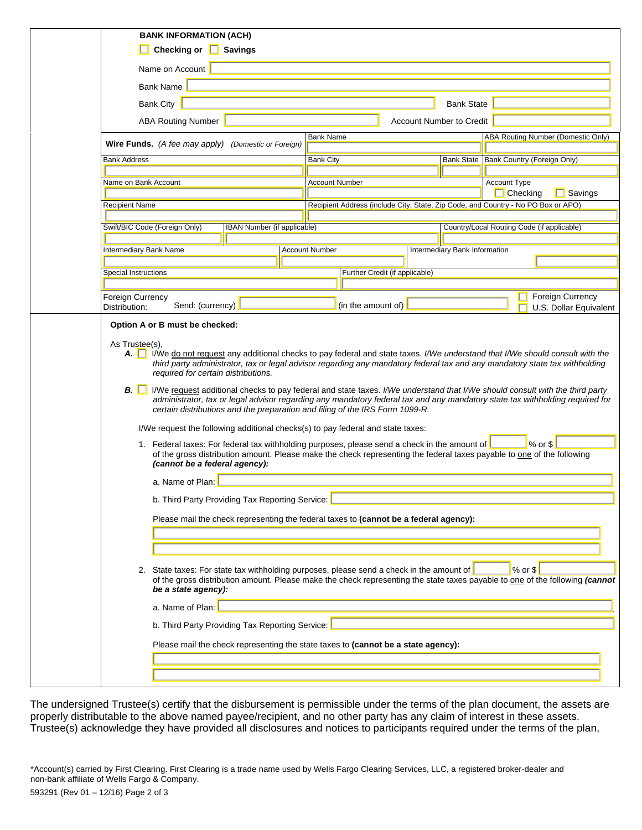|                                   | <b>BANK INFORMATION (ACH)</b>                                                                                                                                                                                                                                                                                                                |  |                       |                                |                                 |                                                                                                                        |  |
|-----------------------------------|----------------------------------------------------------------------------------------------------------------------------------------------------------------------------------------------------------------------------------------------------------------------------------------------------------------------------------------------|--|-----------------------|--------------------------------|---------------------------------|------------------------------------------------------------------------------------------------------------------------|--|
|                                   | Checking or <b>Savings</b>                                                                                                                                                                                                                                                                                                                   |  |                       |                                |                                 |                                                                                                                        |  |
|                                   | Name on Account                                                                                                                                                                                                                                                                                                                              |  |                       |                                |                                 |                                                                                                                        |  |
|                                   | <b>Bank Name</b>                                                                                                                                                                                                                                                                                                                             |  |                       |                                |                                 |                                                                                                                        |  |
|                                   | <b>Bank City</b><br><b>Bank State</b>                                                                                                                                                                                                                                                                                                        |  |                       |                                |                                 |                                                                                                                        |  |
|                                   | <b>ABA Routing Number</b>                                                                                                                                                                                                                                                                                                                    |  |                       |                                | <b>Account Number to Credit</b> |                                                                                                                        |  |
|                                   | Wire Funds. (A fee may apply) (Domestic or Foreign)                                                                                                                                                                                                                                                                                          |  | <b>Bank Name</b>      |                                |                                 | ABA Routing Number (Domestic Only)                                                                                     |  |
| <b>Bank Address</b>               |                                                                                                                                                                                                                                                                                                                                              |  | <b>Bank City</b>      |                                |                                 | Bank State Bank Country (Foreign Only)                                                                                 |  |
| Name on Bank Account              |                                                                                                                                                                                                                                                                                                                                              |  | <b>Account Number</b> |                                |                                 | <b>Account Type</b>                                                                                                    |  |
| <b>Recipient Name</b>             |                                                                                                                                                                                                                                                                                                                                              |  |                       |                                |                                 | $\Box$ Checking<br>$\Box$ Savings<br>Recipient Address (include City, State, Zip Code, and Country - No PO Box or APO) |  |
|                                   |                                                                                                                                                                                                                                                                                                                                              |  |                       |                                |                                 |                                                                                                                        |  |
|                                   | Swift/BIC Code (Foreign Only)<br>IBAN Number (if applicable)                                                                                                                                                                                                                                                                                 |  |                       |                                |                                 | Country/Local Routing Code (if applicable)                                                                             |  |
| Intermediary Bank Name            |                                                                                                                                                                                                                                                                                                                                              |  | <b>Account Number</b> |                                | Intermediary Bank Information   |                                                                                                                        |  |
|                                   |                                                                                                                                                                                                                                                                                                                                              |  |                       |                                |                                 |                                                                                                                        |  |
| <b>Special Instructions</b>       |                                                                                                                                                                                                                                                                                                                                              |  |                       | Further Credit (if applicable) |                                 |                                                                                                                        |  |
| Foreign Currency<br>Distribution: | Send: (currency)                                                                                                                                                                                                                                                                                                                             |  |                       | (in the amount of)             |                                 | Foreign Currency<br>U.S. Dollar Equivalent                                                                             |  |
| As Trustee(s),                    | Option A or B must be checked:                                                                                                                                                                                                                                                                                                               |  |                       |                                |                                 |                                                                                                                        |  |
|                                   | A. I We do not request any additional checks to pay federal and state taxes. I/We understand that I/We should consult with the<br>third party administrator, tax or legal advisor regarding any mandatory federal tax and any mandatory state tax withholding<br>required for certain distributions.                                         |  |                       |                                |                                 |                                                                                                                        |  |
| $B. \Box$                         | I/We request additional checks to pay federal and state taxes. I/We understand that I/We should consult with the third party<br>administrator, tax or legal advisor regarding any mandatory federal tax and any mandatory state tax withholding required for<br>certain distributions and the preparation and filing of the IRS Form 1099-R. |  |                       |                                |                                 |                                                                                                                        |  |
|                                   | I/We request the following additional checks(s) to pay federal and state taxes:                                                                                                                                                                                                                                                              |  |                       |                                |                                 |                                                                                                                        |  |
|                                   | 1. Federal taxes: For federal tax withholding purposes, please send a check in the amount of<br>$%$ or $$$<br>of the gross distribution amount. Please make the check representing the federal taxes payable to one of the following<br>(cannot be a federal agency):                                                                        |  |                       |                                |                                 |                                                                                                                        |  |
|                                   | a. Name of Plan:                                                                                                                                                                                                                                                                                                                             |  |                       |                                |                                 |                                                                                                                        |  |
|                                   | b. Third Party Providing Tax Reporting Service:                                                                                                                                                                                                                                                                                              |  |                       |                                |                                 |                                                                                                                        |  |
|                                   | Please mail the check representing the federal taxes to (cannot be a federal agency):                                                                                                                                                                                                                                                        |  |                       |                                |                                 |                                                                                                                        |  |
|                                   |                                                                                                                                                                                                                                                                                                                                              |  |                       |                                |                                 |                                                                                                                        |  |
|                                   |                                                                                                                                                                                                                                                                                                                                              |  |                       |                                |                                 |                                                                                                                        |  |
|                                   | 2. State taxes: For state tax withholding purposes, please send a check in the amount of<br>$%$ or $$$<br>of the gross distribution amount. Please make the check representing the state taxes payable to one of the following (cannot<br>be a state agency):                                                                                |  |                       |                                |                                 |                                                                                                                        |  |
|                                   | a. Name of Plan:                                                                                                                                                                                                                                                                                                                             |  |                       |                                |                                 |                                                                                                                        |  |
|                                   | b. Third Party Providing Tax Reporting Service:                                                                                                                                                                                                                                                                                              |  |                       |                                |                                 |                                                                                                                        |  |
|                                   | Please mail the check representing the state taxes to (cannot be a state agency):                                                                                                                                                                                                                                                            |  |                       |                                |                                 |                                                                                                                        |  |
|                                   |                                                                                                                                                                                                                                                                                                                                              |  |                       |                                |                                 |                                                                                                                        |  |

The undersigned Trustee(s) certify that the disbursement is permissible under the terms of the plan document, the assets are properly distributable to the above named payee/recipient, and no other party has any claim of interest in these assets. Trustee(s) acknowledge they have provided all disclosures and notices to participants required under the terms of the plan,

<sup>\*</sup>Account(s) carried by First Clearing. First Clearing is a trade name used by Wells Fargo Clearing Services, LLC, a registered broker-dealer and non-bank affiliate of Wells Fargo & Company.